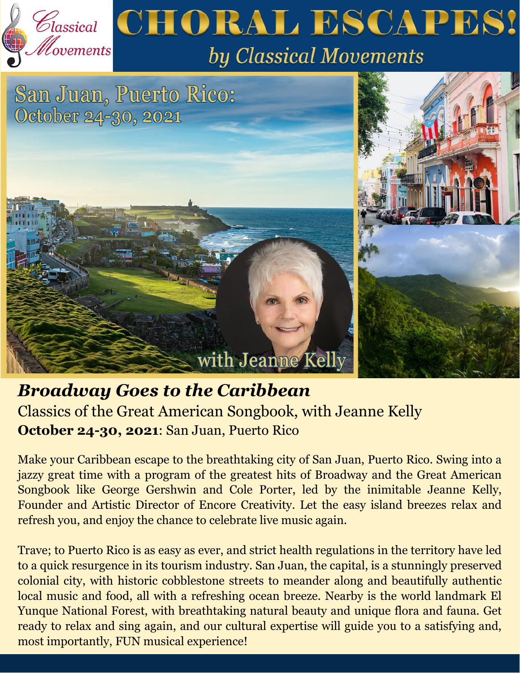

# *Broadway Goes to the Caribbean*

Classics of the Great American Songbook, with Jeanne Kelly **October 24-30, 2021**: San Juan, Puerto Rico

Make your Caribbean escape to the breathtaking city of San Juan, Puerto Rico. Swing into a jazzy great time with a program of the greatest hits of Broadway and the Great American Songbook like George Gershwin and Cole Porter, led by the inimitable Jeanne Kelly, Founder and Artistic Director of Encore Creativity. Let the easy island breezes relax and refresh you, and enjoy the chance to celebrate live music again.

with Jeanne Kelly

Trave; to Puerto Rico is as easy as ever, and strict health regulations in the territory have led to a quick resurgence in its tourism industry. San Juan, the capital, is a stunningly preserved colonial city, with historic cobblestone streets to meander along and beautifully authentic local music and food, all with a refreshing ocean breeze. Nearby is the world landmark El Yunque National Forest, with breathtaking natural beauty and unique flora and fauna. Get ready to relax and sing again, and our cultural expertise will guide you to a satisfying and, most importantly, FUN musical experience!